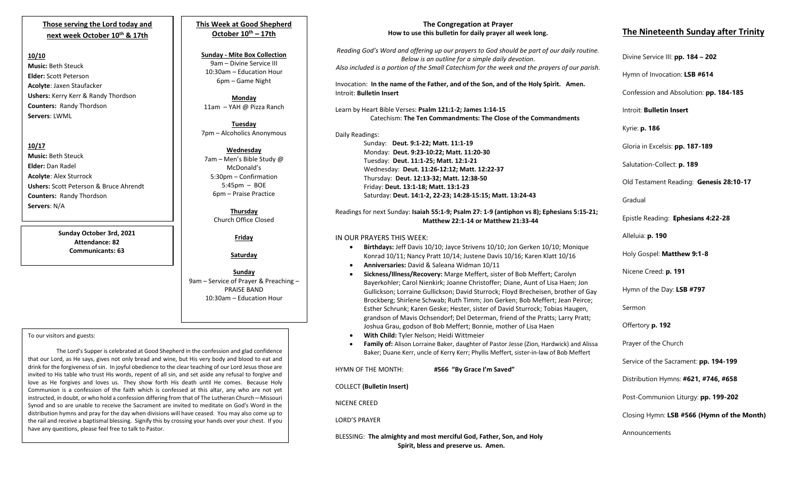### **Those serving the Lord today and next week October 10th & 17th**

#### **10/10**

**Music:** Beth Steuck **Elder:** Scott Peterson **Acolyte**: Jaxen Staufacker **Ushers:** Kerry Kerr & Randy Thordson **Counters:** Randy Thordson **Servers**: LWML

**10/17 Music:** Beth Steuck **Elder:** Dan Radel **Acolyte**: Alex Sturrock **Ushers:** Scott Peterson & Bruce Ahrendt **Counters:** Randy Thordson **Servers**: N/A

> **Sunday October 3rd, 2021 Attendance: 82 Communicants: 63**

## **This Week at Good Shepherd October 10th – 17th**

**Sunday - Mite Box Collection** 9am – Divine Service III 10:30am – Education Hour 6pm – Game Night

**Monday** 11am – YAH @ Pizza Ranch

**Tuesday** 7pm – Alcoholics Anonymous

**Wednesday** 7am – Men's Bible Study @ McDonald's 5:30pm – Confirmation 5:45pm – BOE 6pm – Praise Practice

> **Thursday** Church Office Closed

> > **Friday**

**Saturday**

**Sunday**  9am – Service of Prayer & Preaching – PRAISE BAND 10:30am – Education Hour

#### To our visitors and guests:

Synod and so are unable to receive the Sacrament are invited to meditate on God's Word in the The Lord's Supper is celebrated at Good Shepherd in the confession and glad confidence that our Lord, as He says, gives not only bread and wine, but His very body and blood to eat and drink for the forgiveness of sin. In joyful obedience to the clear teaching of our Lord Jesus those are invited to His table who trust His words, repent of all sin, and set aside any refusal to forgive and love as He forgives and loves us. They show forth His death until He comes. Because Holy Communion is a confession of the faith which is confessed at this altar, any who are not yet instructed, in doubt, or who hold a confession differing from that of The Lutheran Church—Missouri distribution hymns and pray for the day when divisions will have ceased. You may also come up to the rail and receive a baptismal blessing. Signify this by crossing your hands over your chest. If you have any questions, please feel free to talk to Pastor.

#### **The Congregation at Prayer How to use this bulletin for daily prayer all week long.**

*Reading God's Word and offering up our prayers to God should be part of our daily routine. Below is an outline for a simple daily devotion. Also included is a portion of the Small Catechism for the week and the prayers of our parish.*

Invocation: **In the name of the Father, and of the Son, and of the Holy Spirit. Amen.** Introit: **Bulletin Insert**

Learn by Heart Bible Verses: **Psalm 121:1-2; James 1:14-15** Catechism: **The Ten Commandments: The Close of the Commandments**

Daily Readings:

Sunday: **Deut. 9:1-22; Matt. 11:1-19** Monday: **Deut. 9:23-10:22; Matt. 11:20-30** Tuesday: **Deut. 11:1-25; Matt. 12:1-21** Wednesday: **Deut. 11:26-12:12; Matt. 12:22-37** Thursday: **Deut. 12:13-32; Matt. 12:38-50** Friday: **Deut. 13:1-18; Matt. 13:1-23** Saturday: **Deut. 14:1-2, 22-23; 14:28-15:15; Matt. 13:24-43**

Readings for next Sunday: **Isaiah 55:1-9; Psalm 27: 1-9 (antiphon vs 8); Ephesians 5:15-21; Matthew 22:1-14 or Matthew 21:33-44**

#### IN OUR PRAYERS THIS WEEK:

- **Birthdays:** Jeff Davis 10/10; Jayce Strivens 10/10; Jon Gerken 10/10; Monique Konrad 10/11; Nancy Pratt 10/14; Justene Davis 10/16; Karen Klatt 10/16
- **Anniversaries:** David & Saleana Widman 10/11
- **Sickness/Illness/Recovery:** Marge Meffert, sister of Bob Meffert; Carolyn Bayerkohler; Carol Nienkirk; Joanne Christoffer; Diane, Aunt of Lisa Haen; Jon Gullickson; Lorraine Gullickson; David Sturrock; Floyd Brecheisen, brother of Gay Brockberg; Shirlene Schwab; Ruth Timm; Jon Gerken; Bob Meffert; Jean Peirce; Esther Schrunk; Karen Geske; Hester, sister of David Sturrock; Tobias Haugen, grandson of Mavis Ochsendorf; Del Determan, friend of the Pratts; Larry Pratt; Joshua Grau, godson of Bob Meffert; Bonnie, mother of Lisa Haen
- **With Child:** Tyler Nelson; Heidi Wittmeier
- **Family of:** Alison Lorraine Baker, daughter of Pastor Jesse (Zion, Hardwick) and Alissa Baker; Duane Kerr, uncle of Kerry Kerr; Phyllis Meffert, sister-in-law of Bob Meffert

HYMN OF THE MONTH: **#566 "By Grace I'm Saved"**

COLLECT **(Bulletin Insert)**

NICENE CREED

LORD'S PRAYER

BLESSING: **The almighty and most merciful God, Father, Son, and Holy Spirit, bless and preserve us. Amen.**

# **The Nineteenth Sunday after Trinity**

Divine Service III: **pp. 184 – 202**

Hymn of Invocation: **LSB #614**

Confession and Absolution: **pp. 184-185**

Introit: **Bulletin Insert** 

Kyrie: **p. 186**

Gloria in Excelsis: **pp. 187-189**

Salutation-Collect: **p. 189**

Old Testament Reading: **Genesis 28:10-17**

Gradual

Epistle Reading: **Ephesians 4:22-28**

Alleluia: **p. 190**

Holy Gospel: **Matthew 9:1-8**

Nicene Creed: **p. 191**

Hymn of the Day: **LSB #797**

Sermon

Offertory **p. 192**

Prayer of the Church

Service of the Sacrament: **pp. 194-199**

Distribution Hymns: **#621, #746, #658**

Post-Communion Liturgy: **pp. 199-202** 

Closing Hymn: **LSB #566 (Hymn of the Month)**

Announcements